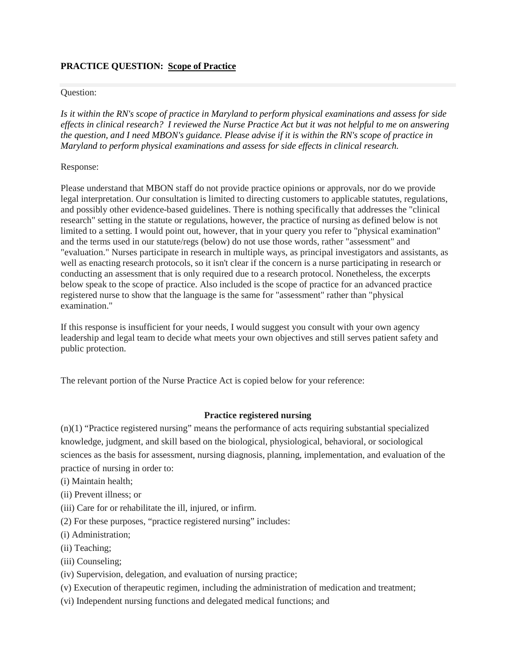## **PRACTICE QUESTION: Scope of Practice**

#### Question:

*Is it within the RN's scope of practice in Maryland to perform physical examinations and assess for side effects in clinical research? I reviewed the Nurse Practice Act but it was not helpful to me on answering the question, and I need MBON's guidance. Please advise if it is within the RN's scope of practice in Maryland to perform physical examinations and assess for side effects in clinical research.*

### Response:

Please understand that MBON staff do not provide practice opinions or approvals, nor do we provide legal interpretation. Our consultation is limited to directing customers to applicable statutes, regulations, and possibly other evidence-based guidelines. There is nothing specifically that addresses the "clinical research" setting in the statute or regulations, however, the practice of nursing as defined below is not limited to a setting. I would point out, however, that in your query you refer to "physical examination" and the terms used in our statute/regs (below) do not use those words, rather "assessment" and "evaluation." Nurses participate in research in multiple ways, as principal investigators and assistants, as well as enacting research protocols, so it isn't clear if the concern is a nurse participating in research or conducting an assessment that is only required due to a research protocol. Nonetheless, the excerpts below speak to the scope of practice. Also included is the scope of practice for an advanced practice registered nurse to show that the language is the same for "assessment" rather than "physical examination."

If this response is insufficient for your needs, I would suggest you consult with your own agency leadership and legal team to decide what meets your own objectives and still serves patient safety and public protection.

The relevant portion of the Nurse Practice Act is copied below for your reference:

## **Practice registered nursing**

(n)(1) "Practice registered nursing" means the performance of acts requiring substantial specialized knowledge, judgment, and skill based on the biological, physiological, behavioral, or sociological sciences as the basis for assessment, nursing diagnosis, planning, implementation, and evaluation of the practice of nursing in order to:

- (i) Maintain health;
- (ii) Prevent illness; or
- (iii) Care for or rehabilitate the ill, injured, or infirm.
- (2) For these purposes, "practice registered nursing" includes:
- (i) Administration;
- (ii) Teaching;
- (iii) Counseling;
- (iv) Supervision, delegation, and evaluation of nursing practice;
- (v) Execution of therapeutic regimen, including the administration of medication and treatment;
- (vi) Independent nursing functions and delegated medical functions; and